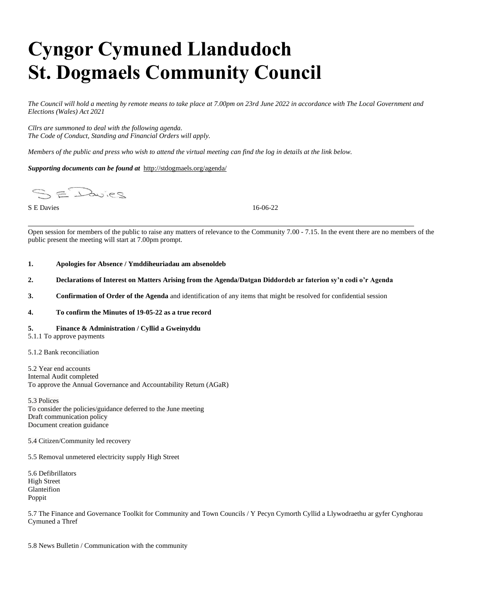# **Cyngor Cymuned Llandudoch St. Dogmaels Community Council**

*The Council will hold a meeting by remote means to take place at 7.00pm on 23rd June 2022 in accordance with The Local Government and Elections (Wales) Act 2021*

*Cllrs are summoned to deal with the following agenda. The Code of Conduct, Standing and Financial Orders will apply.*

*Members of the public and press who wish to attend the virtual meeting can find the log in details at the link below.*

*Supporting documents can be found at* <http://stdogmaels.org/agenda/>

SE Dwies

S E Davies 16-06-22

Open session for members of the public to raise any matters of relevance to the Community 7.00 - 7.15. In the event there are no members of the public present the meeting will start at 7.00pm prompt.

#### **1. Apologies for Absence / Ymddiheuriadau am absenoldeb**

#### **2. Declarations of Interest on Matters Arising from the Agenda/Datgan Diddordeb ar faterion sy'n codi o'r Agenda**

**3. Confirmation of Order of the Agenda** and identification of any items that might be resolved for confidential session

#### **4. To confirm the Minutes of 19-05-22 as a true record**

#### **5. Finance & Administration / Cyllid a Gweinyddu**

- 5.1.1 To approve payments
- 5.1.2 Bank reconciliation

5.2 Year end accounts Internal Audit completed To approve the Annual Governance and Accountability Return (AGaR)

5.3 Polices To consider the policies/guidance deferred to the June meeting Draft communication policy Document creation guidance

5.4 Citizen/Community led recovery

5.5 Removal unmetered electricity supply High Street

5.6 Defibrillators High Street Glanteifion Poppit

5.7 The Finance and Governance Toolkit for Community and Town Councils / Y Pecyn Cymorth Cyllid a Llywodraethu ar gyfer Cynghorau Cymuned a Thref

5.8 News Bulletin / Communication with the community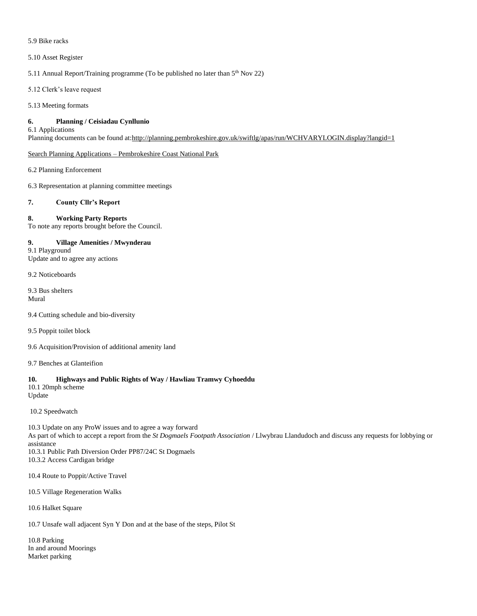#### 5.9 Bike racks

#### 5.10 Asset Register

5.11 Annual Report/Training programme (To be published no later than 5<sup>th</sup> Nov 22)

5.12 Clerk's leave request

5.13 Meeting formats

## **6. Planning / Ceisiadau Cynllunio**

6.1 Applications

Planning documents can be found at[:http://planning.pembrokeshire.gov.uk/swiftlg/apas/run/WCHVARYLOGIN.display?langid=1](http://planning.pembrokeshire.gov.uk/swiftlg/apas/run/WCHVARYLOGIN.display?langid=1)

Search Planning Applications – [Pembrokeshire Coast National Park](https://www.pembrokeshirecoast.wales/planning/search-planning-applications/)

6.2 Planning Enforcement

6.3 Representation at planning committee meetings

## **7. County Cllr's Report**

# **8. Working Party Reports**

To note any reports brought before the Council.

**9. Village Amenities / Mwynderau** 9.1 Playground Update and to agree any actions

9.2 Noticeboards

9.3 Bus shelters Mural

9.4 Cutting schedule and bio-diversity

9.5 Poppit toilet block

9.6 Acquisition/Provision of additional amenity land

9.7 Benches at Glanteifion

#### **10. Highways and Public Rights of Way / Hawliau Tramwy Cyhoeddu**

10.1 20mph scheme Update

10.2 Speedwatch

10.3 Update on any ProW issues and to agree a way forward As part of which to accept a report from the *St Dogmaels Footpath Association* / Llwybrau Llandudoch and discuss any requests for lobbying or assistance 10.3.1 Public Path Diversion Order PP87/24C St Dogmaels

10.3.2 Access Cardigan bridge

10.4 Route to Poppit/Active Travel

10.5 Village Regeneration Walks

10.6 Halket Square

10.7 Unsafe wall adjacent Syn Y Don and at the base of the steps, Pilot St

10.8 Parking In and around Moorings Market parking